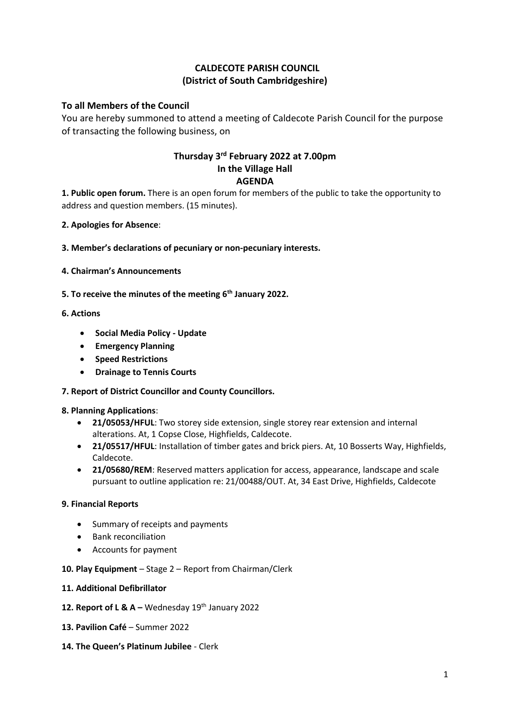# **CALDECOTE PARISH COUNCIL (District of South Cambridgeshire)**

## **To all Members of the Council**

You are hereby summoned to attend a meeting of Caldecote Parish Council for the purpose of transacting the following business, on

## **Thursday 3 rd February 2022 at 7.00pm In the Village Hall AGENDA**

**1. Public open forum.** There is an open forum for members of the public to take the opportunity to address and question members. (15 minutes).

**2. Apologies for Absence**:

**3. Member's declarations of pecuniary or non-pecuniary interests.**

- **4. Chairman's Announcements**
- **5. To receive the minutes of the meeting 6 th January 2022.**

### **6. Actions**

- **Social Media Policy - Update**
- **Emergency Planning**
- **Speed Restrictions**
- **Drainage to Tennis Courts**

#### **7. Report of District Councillor and County Councillors.**

#### **8. Planning Applications**:

- **21/05053/HFUL**: Two storey side extension, single storey rear extension and internal alterations. At, 1 Copse Close, Highfields, Caldecote.
- **21/05517/HFUL**: Installation of timber gates and brick piers. At, 10 Bosserts Way, Highfields, Caldecote.
- **21/05680/REM**: Reserved matters application for access, appearance, landscape and scale pursuant to outline application re: 21/00488/OUT. At, 34 East Drive, Highfields, Caldecote

#### **9. Financial Reports**

- Summary of receipts and payments
- Bank reconciliation
- Accounts for payment

#### **10. Play Equipment** – Stage 2 – Report from Chairman/Clerk

#### **11. Additional Defibrillator**

- **12. Report of L &**  $A -$  **Wednesday**  $19<sup>th</sup>$  **January 2022**
- **13. Pavilion Café**  Summer 2022
- **14. The Queen's Platinum Jubilee** Clerk